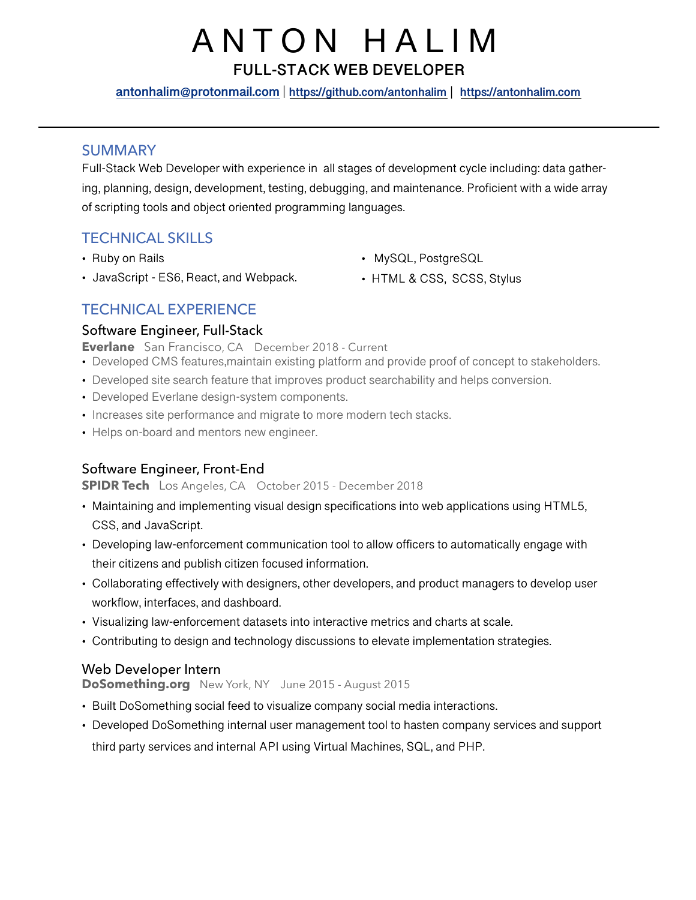# ANTON HALIM

**FULL-STACK WEB DEVELOPER**

**[antonhalim@protonmail.com](mailto:antonhalim@protonmail.com) | <https://github.com/antonhalim>** | **<https://antonhalim.com>**

## SUMMARY

Full-Stack Web Developer with experience in all stages of development cycle including: data gathering, planning, design, development, testing, debugging, and maintenance. Proficient with a wide array of scripting tools and object oriented programming languages.

# TECHNICAL SKILLS

- Ruby on Rails
- JavaScript ES6, React, and Webpack.
- MySQL, PostgreSQL
- HTML & CSS, SCSS, Stylus

# TECHNICAL EXPERIENCE

## Software Engineer, Full-Stack

**Everlane** San Francisco, CA December 2018 - Current

- Developed CMS features,maintain existing platform and provide proof of concept to stakeholders.
- Developed site search feature that improves product searchability and helps conversion.
- Developed Everlane design-system components.
- Increases site performance and migrate to more modern tech stacks.
- Helps on-board and mentors new engineer.

## Software Engineer, Front-End

#### **SPIDR Tech** Los Angeles, CA October 2015 - December 2018

- Maintaining and implementing visual design specifications into web applications using HTML5, CSS, and JavaScript.
- Developing law-enforcement communication tool to allow officers to automatically engage with their citizens and publish citizen focused information.
- Collaborating effectively with designers, other developers, and product managers to develop user workflow, interfaces, and dashboard.
- Visualizing law-enforcement datasets into interactive metrics and charts at scale.
- Contributing to design and technology discussions to elevate implementation strategies.

## Web Developer Intern

#### **[DoSomething.org](http://DoSomething.org)** New York, NY June 2015 - August 2015

- Built DoSomething social feed to visualize company social media interactions.
- Developed DoSomething internal user management tool to hasten company services and support third party services and internal API using Virtual Machines, SQL, and PHP.